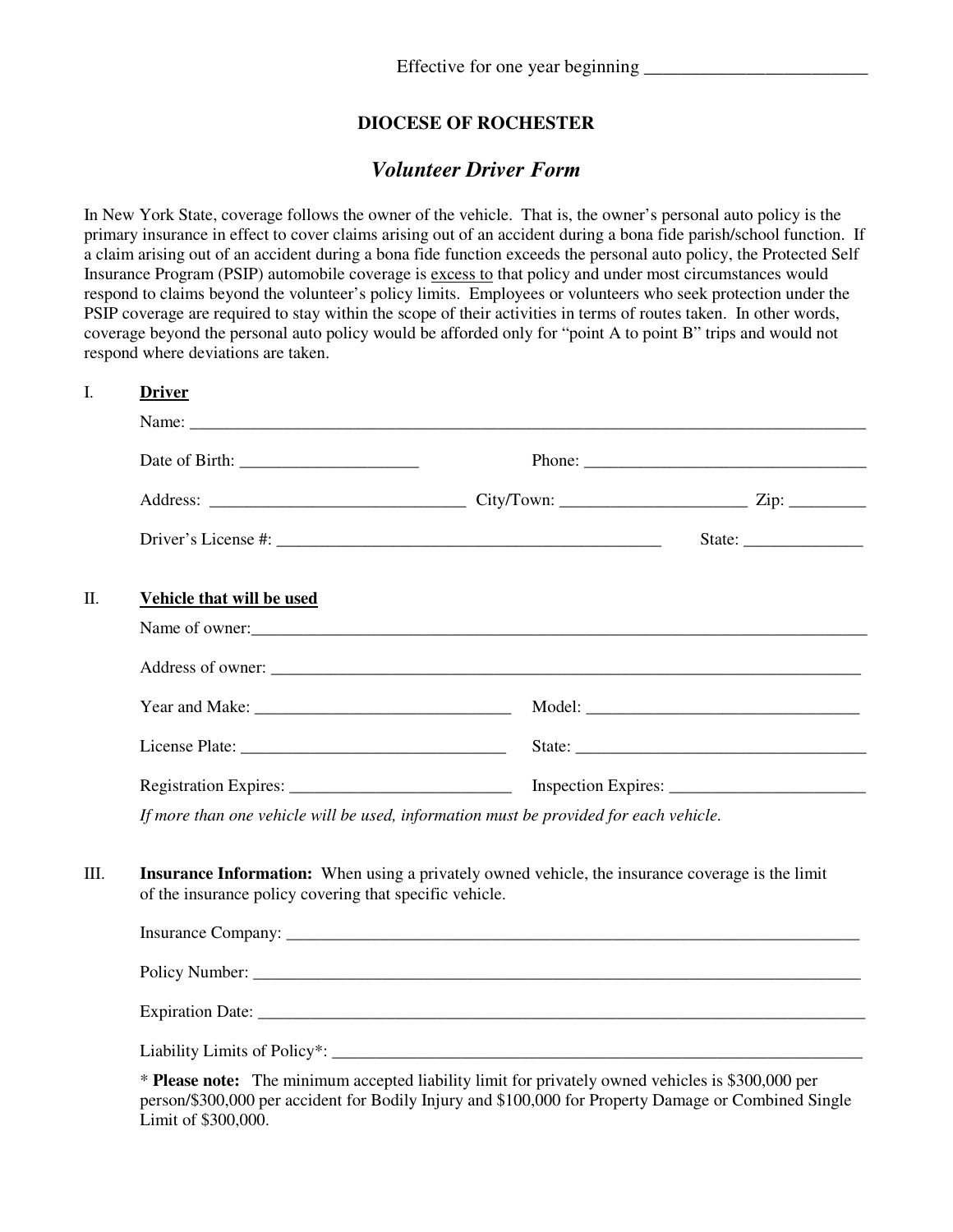## **DIOCESE OF ROCHESTER**

## *Volunteer Driver Form*

In New York State, coverage follows the owner of the vehicle. That is, the owner's personal auto policy is the primary insurance in effect to cover claims arising out of an accident during a bona fide parish/school function. If a claim arising out of an accident during a bona fide function exceeds the personal auto policy, the Protected Self Insurance Program (PSIP) automobile coverage is excess to that policy and under most circumstances would respond to claims beyond the volunteer's policy limits. Employees or volunteers who seek protection under the PSIP coverage are required to stay within the scope of their activities in terms of routes taken. In other words, coverage beyond the personal auto policy would be afforded only for "point A to point B" trips and would not respond where deviations are taken.

|  | <b>Driver</b>                                                                                                                                               |  |                                                                                                                                                                                                                                                                                                                                                                                                              |
|--|-------------------------------------------------------------------------------------------------------------------------------------------------------------|--|--------------------------------------------------------------------------------------------------------------------------------------------------------------------------------------------------------------------------------------------------------------------------------------------------------------------------------------------------------------------------------------------------------------|
|  |                                                                                                                                                             |  |                                                                                                                                                                                                                                                                                                                                                                                                              |
|  |                                                                                                                                                             |  |                                                                                                                                                                                                                                                                                                                                                                                                              |
|  |                                                                                                                                                             |  |                                                                                                                                                                                                                                                                                                                                                                                                              |
|  |                                                                                                                                                             |  | State: $\frac{1}{\sqrt{1-\frac{1}{2}}\sqrt{1-\frac{1}{2}}\sqrt{1-\frac{1}{2}}\sqrt{1-\frac{1}{2}}\sqrt{1-\frac{1}{2}}\sqrt{1-\frac{1}{2}}\sqrt{1-\frac{1}{2}}\sqrt{1-\frac{1}{2}}\sqrt{1-\frac{1}{2}}\sqrt{1-\frac{1}{2}}\sqrt{1-\frac{1}{2}}\sqrt{1-\frac{1}{2}}\sqrt{1-\frac{1}{2}}\sqrt{1-\frac{1}{2}}\sqrt{1-\frac{1}{2}}\sqrt{1-\frac{1}{2}}\sqrt{1-\frac{1}{2}}\sqrt{1-\frac{1}{2}}\sqrt{1-\frac{1}{2$ |
|  | Vehicle that will be used                                                                                                                                   |  |                                                                                                                                                                                                                                                                                                                                                                                                              |
|  | Name of owner:                                                                                                                                              |  |                                                                                                                                                                                                                                                                                                                                                                                                              |
|  |                                                                                                                                                             |  |                                                                                                                                                                                                                                                                                                                                                                                                              |
|  |                                                                                                                                                             |  |                                                                                                                                                                                                                                                                                                                                                                                                              |
|  |                                                                                                                                                             |  |                                                                                                                                                                                                                                                                                                                                                                                                              |
|  |                                                                                                                                                             |  |                                                                                                                                                                                                                                                                                                                                                                                                              |
|  | If more than one vehicle will be used, information must be provided for each vehicle.                                                                       |  |                                                                                                                                                                                                                                                                                                                                                                                                              |
|  | Insurance Information: When using a privately owned vehicle, the insurance coverage is the limit<br>of the insurance policy covering that specific vehicle. |  |                                                                                                                                                                                                                                                                                                                                                                                                              |
|  |                                                                                                                                                             |  |                                                                                                                                                                                                                                                                                                                                                                                                              |
|  |                                                                                                                                                             |  |                                                                                                                                                                                                                                                                                                                                                                                                              |
|  | Liability Limits of Policy*:                                                                                                                                |  |                                                                                                                                                                                                                                                                                                                                                                                                              |
|  | * Please note: The minimum accepted liability limit for privately owned vehicles is \$300,000 per                                                           |  |                                                                                                                                                                                                                                                                                                                                                                                                              |

person/\$300,000 per accident for Bodily Injury and \$100,000 for Property Damage or Combined Single Limit of \$300,000.